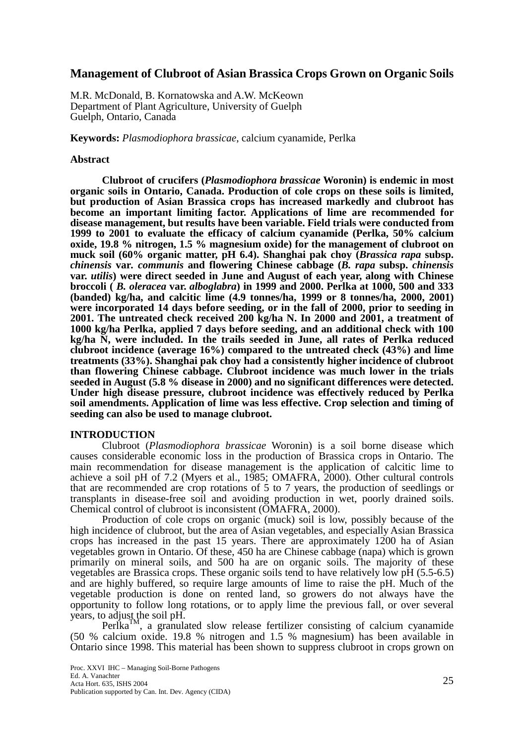## **Management of Clubroot of Asian Brassica Crops Grown on Organic Soils**

M.R. McDonald, B. Kornatowska and A.W. McKeown Department of Plant Agriculture, University of Guelph Guelph, Ontario, Canada

**Keywords:** *Plasmodiophora brassicae*, calcium cyanamide, Perlka

### **Abstract**

 **Clubroot of crucifers (***Plasmodiophora brassicae* **Woronin) is endemic in most organic soils in Ontario, Canada. Production of cole crops on these soils is limited, but production of Asian Brassica crops has increased markedly and clubroot has become an important limiting factor. Applications of lime are recommended for disease management, but results have been variable. Field trials were conducted from 1999 to 2001 to evaluate the efficacy of calcium cyanamide (Perlka, 50% calcium oxide, 19.8 % nitrogen, 1.5 % magnesium oxide) for the management of clubroot on muck soil (60% organic matter, pH 6.4). Shanghai pak choy (***Brassica rapa* **subsp.** *chinensis* **var***. communis* **and flowering Chinese cabbage (***B. rapa* **subsp.** *chinensis* **var.** *utilis***) were direct seeded in June and August of each year, along with Chinese broccoli (** *B. oleracea* **var.** *alboglabra***) in 1999 and 2000. Perlka at 1000, 500 and 333 (banded) kg/ha, and calcitic lime (4.9 tonnes/ha, 1999 or 8 tonnes/ha, 2000, 2001) were incorporated 14 days before seeding, or in the fall of 2000, prior to seeding in 2001. The untreated check received 200 kg/ha N. In 2000 and 2001, a treatment of 1000 kg/ha Perlka, applied 7 days before seeding, and an additional check with 100 kg/ha N, were included. In the trails seeded in June, all rates of Perlka reduced clubroot incidence (average 16%) compared to the untreated check (43%) and lime treatments (33%). Shanghai pak choy had a consistently higher incidence of clubroot than flowering Chinese cabbage. Clubroot incidence was much lower in the trials seeded in August (5.8 % disease in 2000) and no significant differences were detected. Under high disease pressure, clubroot incidence was effectively reduced by Perlka soil amendments. Application of lime was less effective. Crop selection and timing of seeding can also be used to manage clubroot.** 

### **INTRODUCTION**

Clubroot (*Plasmodiophora brassicae* Woronin) is a soil borne disease which causes considerable economic loss in the production of Brassica crops in Ontario. The main recommendation for disease management is the application of calcitic lime to achieve a soil pH of 7.2 (Myers et al., 1985; OMAFRA, 2000). Other cultural controls that are recommended are crop rotations of 5 to 7 years, the production of seedlings or transplants in disease-free soil and avoiding production in wet, poorly drained soils. Chemical control of clubroot is inconsistent (OMAFRA, 2000).

Production of cole crops on organic (muck) soil is low, possibly because of the high incidence of clubroot, but the area of Asian vegetables, and especially Asian Brassica crops has increased in the past 15 years. There are approximately 1200 ha of Asian vegetables grown in Ontario. Of these, 450 ha are Chinese cabbage (napa) which is grown primarily on mineral soils, and 500 ha are on organic soils. The majority of these vegetables are Brassica crops. These organic soils tend to have relatively low pH (5.5-6.5) and are highly buffered, so require large amounts of lime to raise the pH. Much of the vegetable production is done on rented land, so growers do not always have the opportunity to follow long rotations, or to apply lime the previous fall, or over several years, to adjust the soil pH.

 $PerIka<sup>TM</sup>$ , a granulated slow release fertilizer consisting of calcium cyanamide (50 % calcium oxide. 19.8 % nitrogen and 1.5 % magnesium) has been available in Ontario since 1998. This material has been shown to suppress clubroot in crops grown on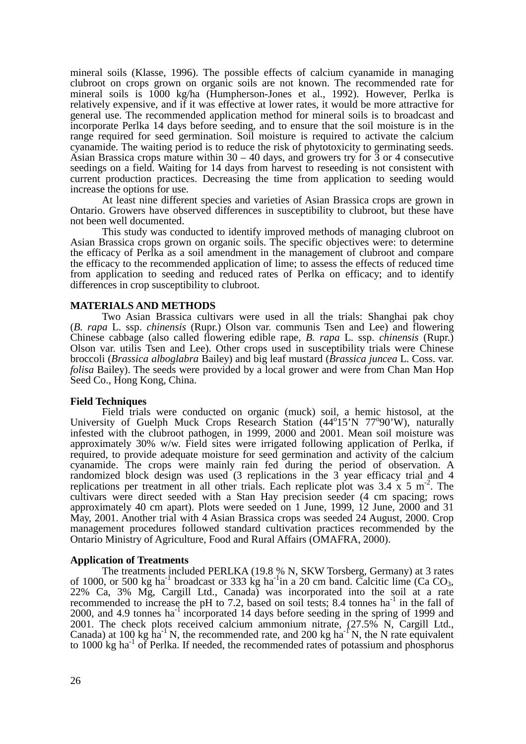mineral soils (Klasse, 1996). The possible effects of calcium cyanamide in managing clubroot on crops grown on organic soils are not known. The recommended rate for mineral soils is 1000 kg/ha (Humpherson-Jones et al., 1992). However, Perlka is relatively expensive, and if it was effective at lower rates, it would be more attractive for general use. The recommended application method for mineral soils is to broadcast and incorporate Perlka 14 days before seeding, and to ensure that the soil moisture is in the range required for seed germination. Soil moisture is required to activate the calcium cyanamide. The waiting period is to reduce the risk of phytotoxicity to germinating seeds. Asian Brassica crops mature within  $30 - 40$  days, and growers try for 3 or 4 consecutive seedings on a field. Waiting for 14 days from harvest to reseeding is not consistent with current production practices. Decreasing the time from application to seeding would increase the options for use.

At least nine different species and varieties of Asian Brassica crops are grown in Ontario. Growers have observed differences in susceptibility to clubroot, but these have not been well documented.

This study was conducted to identify improved methods of managing clubroot on Asian Brassica crops grown on organic soils. The specific objectives were: to determine the efficacy of Perlka as a soil amendment in the management of clubroot and compare the efficacy to the recommended application of lime; to assess the effects of reduced time from application to seeding and reduced rates of Perlka on efficacy; and to identify differences in crop susceptibility to clubroot.

### **MATERIALS AND METHODS**

Two Asian Brassica cultivars were used in all the trials: Shanghai pak choy (*B. rapa* L. ssp. *chinensis* (Rupr.) Olson var. communis Tsen and Lee) and flowering Chinese cabbage (also called flowering edible rape, *B. rapa* L. ssp. *chinensis* (Rupr.) Olson var. utilis Tsen and Lee). Other crops used in susceptibility trials were Chinese broccoli (*Brassica alboglabra* Bailey) and big leaf mustard (*Brassica juncea* L. Coss. var. *folisa* Bailey). The seeds were provided by a local grower and were from Chan Man Hop Seed Co., Hong Kong, China.

#### **Field Techniques**

Field trials were conducted on organic (muck) soil, a hemic histosol, at the University of Guelph Muck Crops Research Station (44°15'N 77°90'W), naturally infested with the clubroot pathogen, in 1999, 2000 and 2001. Mean soil moisture was approximately 30% w/w. Field sites were irrigated following application of Perlka, if required, to provide adequate moisture for seed germination and activity of the calcium cyanamide. The crops were mainly rain fed during the period of observation. A randomized block design was used (3 replications in the 3 year efficacy trial and 4 replications per treatment in all other trials. Each replicate plot was  $3.4 \times 5 \text{ m}^2$ . The cultivars were direct seeded with a Stan Hay precision seeder (4 cm spacing; rows approximately 40 cm apart). Plots were seeded on 1 June, 1999, 12 June, 2000 and 31 May, 2001. Another trial with 4 Asian Brassica crops was seeded 24 August, 2000. Crop management procedures followed standard cultivation practices recommended by the Ontario Ministry of Agriculture, Food and Rural Affairs (OMAFRA, 2000).

#### **Application of Treatments**

The treatments included PERLKA (19.8 % N, SKW Torsberg, Germany) at 3 rates of 1000, or 500 kg ha<sup>-1</sup> broadcast or 333 kg ha<sup>-1</sup>in a 20 cm band. Calcitic lime (Ca CO<sub>3</sub>, 22% Ca, 3% Mg, Cargill Ltd., Canada) was incorporated into the soil at a rate recommended to increase the pH to 7.2, based on soil tests; 8.4 tonnes ha<sup>-1</sup> in the fall of 2000, and 4.9 tonnes  $ha^{-1}$  incorporated 14 days before seeding in the spring of 1999 and 2001. The check plots received calcium ammonium nitrate, (27.5% N, Cargill Ltd., Canada) at 100 kg ha<sup>-1</sup> N, the recommended rate, and 200 kg ha<sup>-1</sup> N, the N rate equivalent to 1000 kg ha<sup>-1</sup> of Perlka. If needed, the recommended rates of potassium and phosphorus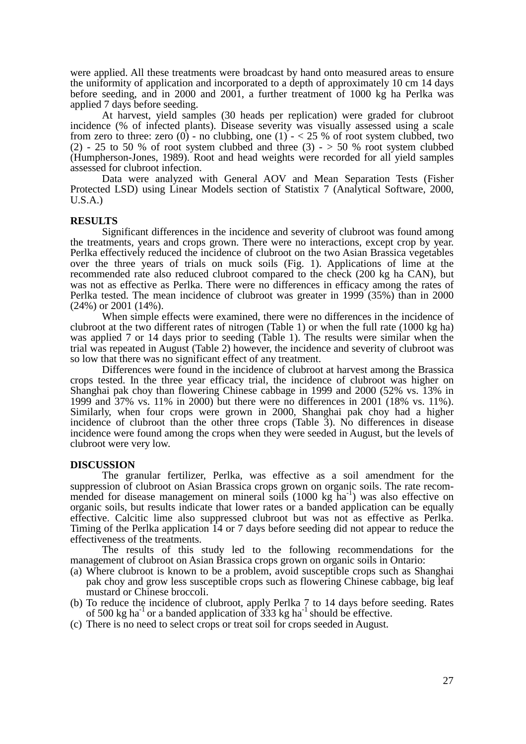were applied. All these treatments were broadcast by hand onto measured areas to ensure the uniformity of application and incorporated to a depth of approximately 10 cm 14 days before seeding, and in 2000 and 2001, a further treatment of 1000 kg ha Perlka was applied 7 days before seeding.

At harvest, yield samples (30 heads per replication) were graded for clubroot incidence (% of infected plants). Disease severity was visually assessed using a scale from zero to three: zero (0) - no clubbing, one (1)  $- < 25$  % of root system clubbed, two (2) - 25 to 50 % of root system clubbed and three (3) -  $>$  50 % root system clubbed (Humpherson-Jones, 1989). Root and head weights were recorded for all yield samples assessed for clubroot infection.

Data were analyzed with General AOV and Mean Separation Tests (Fisher Protected LSD) using Linear Models section of Statistix 7 (Analytical Software, 2000, U.S.A.)

#### **RESULTS**

Significant differences in the incidence and severity of clubroot was found among the treatments, years and crops grown. There were no interactions, except crop by year. Perlka effectively reduced the incidence of clubroot on the two Asian Brassica vegetables over the three years of trials on muck soils (Fig. 1). Applications of lime at the recommended rate also reduced clubroot compared to the check (200 kg ha CAN), but was not as effective as Perlka. There were no differences in efficacy among the rates of Perlka tested. The mean incidence of clubroot was greater in 1999 (35%) than in 2000 (24%) or 2001 (14%).

When simple effects were examined, there were no differences in the incidence of clubroot at the two different rates of nitrogen (Table 1) or when the full rate (1000 kg ha) was applied 7 or 14 days prior to seeding (Table 1). The results were similar when the trial was repeated in August (Table 2) however, the incidence and severity of clubroot was so low that there was no significant effect of any treatment.

Differences were found in the incidence of clubroot at harvest among the Brassica crops tested. In the three year efficacy trial, the incidence of clubroot was higher on Shanghai pak choy than flowering Chinese cabbage in 1999 and 2000 (52% vs. 13% in 1999 and 37% vs. 11% in 2000) but there were no differences in 2001 (18% vs. 11%). Similarly, when four crops were grown in 2000, Shanghai pak choy had a higher incidence of clubroot than the other three crops (Table 3). No differences in disease incidence were found among the crops when they were seeded in August, but the levels of clubroot were very low.

#### **DISCUSSION**

 The granular fertilizer, Perlka, was effective as a soil amendment for the suppression of clubroot on Asian Brassica crops grown on organic soils. The rate recommended for disease management on mineral soils  $(1000 \text{ kg} \text{ ha}^{-1})$  was also effective on organic soils, but results indicate that lower rates or a banded application can be equally effective. Calcitic lime also suppressed clubroot but was not as effective as Perlka. Timing of the Perlka application 14 or 7 days before seeding did not appear to reduce the effectiveness of the treatments.

The results of this study led to the following recommendations for the management of clubroot on Asian Brassica crops grown on organic soils in Ontario:

- (a) Where clubroot is known to be a problem, avoid susceptible crops such as Shanghai pak choy and grow less susceptible crops such as flowering Chinese cabbage, big leaf mustard or Chinese broccoli.
- (b) To reduce the incidence of clubroot, apply Perlka 7 to 14 days before seeding. Rates of 500 kg ha<sup>-1</sup> or a banded application of  $333$  kg ha<sup>-1</sup> should be effective.
- (c) There is no need to select crops or treat soil for crops seeded in August.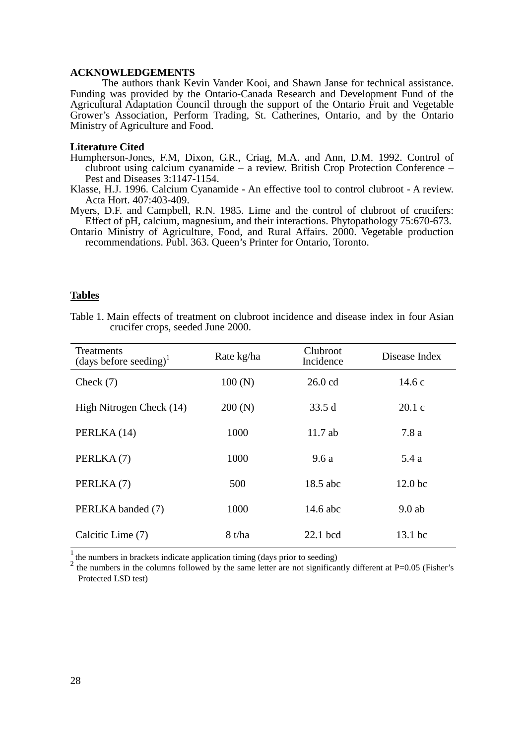## **ACKNOWLEDGEMENTS**

The authors thank Kevin Vander Kooi, and Shawn Janse for technical assistance. Funding was provided by the Ontario-Canada Research and Development Fund of the Agricultural Adaptation Council through the support of the Ontario Fruit and Vegetable Grower's Association, Perform Trading, St. Catherines, Ontario, and by the Ontario Ministry of Agriculture and Food.

#### **Literature Cited**

- Humpherson-Jones, F.M, Dixon, G.R., Criag, M.A. and Ann, D.M. 1992. Control of clubroot using calcium cyanamide – a review. British Crop Protection Conference – Pest and Diseases 3:1147-1154.
- Klasse, H.J. 1996. Calcium Cyanamide An effective tool to control clubroot A review. Acta Hort. 407:403-409.
- Myers, D.F. and Campbell, R.N. 1985. Lime and the control of clubroot of crucifers: Effect of pH, calcium, magnesium, and their interactions. Phytopathology 75:670-673.

Ontario Ministry of Agriculture, Food, and Rural Affairs. 2000. Vegetable production recommendations. Publ. 363. Queen's Printer for Ontario, Toronto.

## **Tables**

Table 1. Main effects of treatment on clubroot incidence and disease index in four Asian crucifer crops, seeded June 2000.

| <b>Treatments</b><br>(days before seeding) <sup>1</sup> | Rate kg/ha | Clubroot<br>Incidence | Disease Index      |
|---------------------------------------------------------|------------|-----------------------|--------------------|
| Check $(7)$                                             | 100(N)     | $26.0$ cd             | 14.6c              |
| High Nitrogen Check (14)                                | 200(N)     | 33.5d                 | 20.1c              |
| PERLKA (14)                                             | 1000       | $11.7$ ab             | 7.8a               |
| PERLKA(7)                                               | 1000       | 9.6a                  | 5.4 a              |
| PERLKA(7)                                               | 500        | 18.5 abc              | 12.0 <sub>bc</sub> |
| PERLKA banded (7)                                       | 1000       | 14.6 abc              | $9.0$ ab           |
| Calcitic Lime (7)                                       | 8 t/ha     | 22.1 bcd              | 13.1 bc            |

<sup>1</sup> the numbers in brackets indicate application timing (days prior to seeding) 2

the numbers in the columns followed by the same letter are not significantly different at  $P=0.05$  (Fisher's Protected LSD test)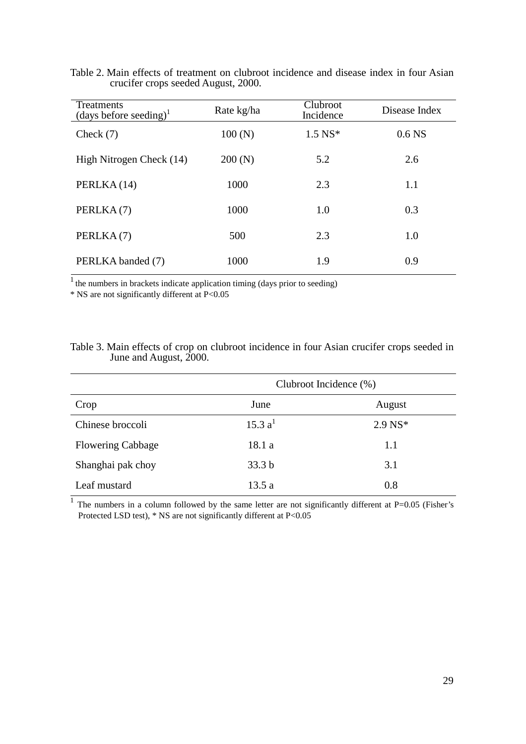| Treatments<br>(days before seeding) <sup>1</sup> | Rate kg/ha | Clubroot<br>Incidence | Disease Index     |
|--------------------------------------------------|------------|-----------------------|-------------------|
| Check $(7)$                                      | 100(N)     | $1.5 N S^*$           | 0.6 <sub>NS</sub> |
| High Nitrogen Check (14)                         | 200(N)     | 5.2                   | 2.6               |
| PERLKA (14)                                      | 1000       | 2.3                   | 1.1               |
| PERLKA(7)                                        | 1000       | 1.0                   | 0.3               |
| PERLKA(7)                                        | 500        | 2.3                   | 1.0               |
| PERLKA banded (7)                                | 1000       | 1.9                   | 0.9               |

Table 2. Main effects of treatment on clubroot incidence and disease index in four Asian crucifer crops seeded August, 2000.

 $\frac{1}{1}$  the numbers in brackets indicate application timing (days prior to seeding)

\* NS are not significantly different at P<0.05

# Table 3. Main effects of crop on clubroot incidence in four Asian crucifer crops seeded in June and August, 2000.

|                          | Clubroot Incidence (%) |             |  |
|--------------------------|------------------------|-------------|--|
| Crop                     | June                   | August      |  |
| Chinese broccoli         | 15.3 a <sup>1</sup>    | $2.9 N S^*$ |  |
| <b>Flowering Cabbage</b> | 18.1 a                 | 1.1         |  |
| Shanghai pak choy        | 33.3 <sub>b</sub>      | 3.1         |  |
| Leaf mustard             | 13.5 a                 | 0.8         |  |

 $\overline{1}$  The numbers in a column followed by the same letter are not significantly different at P=0.05 (Fisher's Protected LSD test), \* NS are not significantly different at P<0.05